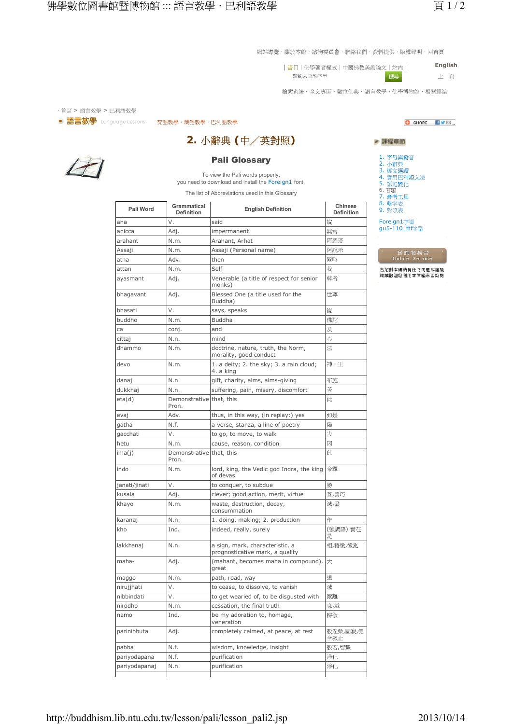網站導覽・關於本館・諮詢委員會・聯絡我們・資料提供・版權聲明・回首頁

**English** | 書日 | 佛學著者權威 | 中國佛教美術論文 | 站内 | 請輸入查詢字串 上項 搜尋

檢索系統・全文專區・數位佛典・語言教學・佛學博物館・相關連結





2. 小辭典 (中/英對照)

## **Pali Glossary**

To view the Pali words properly, you need to download and install the Foreign1 font.

The list of Abbreviations used in this Glossary

| Pali Word     | <b>Grammatical</b><br><b>Definition</b> | <b>English Definition</b>                                          | Chinese<br><b>Definition</b> |
|---------------|-----------------------------------------|--------------------------------------------------------------------|------------------------------|
| aha           | V.                                      | said                                                               | 說                            |
| anicca        | Adj.                                    | impermanent                                                        | 無常                           |
| arahant       | N.m.                                    | Arahant, Arhat                                                     | 阿羅漢                          |
| Assaji        | N.m.                                    | Assaji (Personal name)                                             | 阿說示                          |
| atha          | Adv.                                    | then                                                               | 制時                           |
| attan         | N.m.                                    | Self                                                               | 我                            |
| ayasmant      | Adj.                                    | Venerable (a title of respect for senior<br>monks)                 | 尊者                           |
| bhagavant     | Adj.                                    | Blessed One (a title used for the<br>Buddha)                       | 世尊                           |
| bhasati       | V.                                      | says, speaks                                                       | 說                            |
| buddho        | N.m.                                    | <b>Buddha</b>                                                      | 佛陀                           |
| са            | conj.                                   | and                                                                | 及                            |
| cittaj        | N.n.                                    | mind                                                               | 心                            |
| dhammo        | N.m.                                    | doctrine, nature, truth, the Norm,<br>morality, good conduct       | 法                            |
| devo          | N.m.                                    | 1. a deity; 2. the sky; 3. a rain cloud;<br>4. a king              | 神,王                          |
| danaj         | N.n.                                    | gift, charity, alms, alms-giving                                   | 布施                           |
| dukkhaj       | N.n.                                    | suffering, pain, misery, discomfort                                | 苦                            |
| eta(d)        | Demonstrative that, this<br>Pron.       |                                                                    | 此                            |
| evaj          | Adv.                                    | thus, in this way, (in replay:) yes                                | 如是                           |
| gatha         | N.f.                                    | a verse, stanza, a line of poetry                                  | 偈                            |
| gacchati      | V.                                      | to go, to move, to walk                                            | 去                            |
| hetu          | N.m.                                    | cause, reason, condition                                           | 因                            |
| ima(j)        | Demonstrative that, this<br>Pron.       |                                                                    | 此                            |
| indo          | N.m.                                    | lord, king, the Vedic god Indra, the king<br>of devas              | 帝釋                           |
| janati/jinati | V.                                      | to conquer, to subdue                                              | 勝                            |
| kusala        | Adj.                                    | clever; good action, merit, virtue                                 | 善,善巧                         |
| khayo         | N.m.                                    | waste, destruction, decay,<br>consummation                         | 滅,盡                          |
| karanaj       | N.n.                                    | 1. doing, making; 2. production                                    | 作                            |
| kho           | Ind.                                    | indeed, really, surely                                             | (強調語)實在<br>是                 |
| lakkhanaj     | N.n.                                    | a sign, mark, characteristic, a<br>prognosticative mark, a quality | 相,特徵,徵兆                      |
| maha-         | Adj.                                    | (mahant, becomes maha in compound),<br>great                       | 大                            |
| maggo         | N.m.                                    | path, road, way                                                    | 道                            |
| nirujjhati    | V.                                      | to cease, to dissolve, to vanish                                   | 滅                            |
| nibbindati    | ٧.                                      | to get wearied of, to be disgusted with                            | 厭離                           |
| nirodho       | N.m.                                    | cessation, the final truth                                         | 息,滅                          |
| namo          | Ind.                                    | be my adoration to, homage,<br>veneration                          | 歸敬                           |
| parinibbuta   | Adj.                                    | completely calmed, at peace, at rest                               | 般涅槃,圓寂,完<br>全寂止              |
| pabba         | N.f.                                    | wisdom, knowledge, insight                                         | 般若,智慧                        |
| pariyodapana  | N.f.                                    | purification                                                       | 淨化                           |
| pariyodapanaj | N.n.                                    | purification                                                       | 淨化                           |
|               |                                         |                                                                    |                              |

## O SHARE HVE.

| ▶ 課程章節                                                                                         |  |
|------------------------------------------------------------------------------------------------|--|
| 1. 字母與發音<br>2. 小辭典<br>3. 經文選讀<br>4. 實用巴利語文法<br>5. 語尾變化<br>6. 習讀<br>7. 参考工具<br>8. 略字表<br>9. 對照表 |  |
| Foreign1字型<br>gu5-110_ttf字型<br>×                                                               |  |

菩您對本網站有任何問題或建議<br>謁誠歡迎您利用本信箱來函詢問